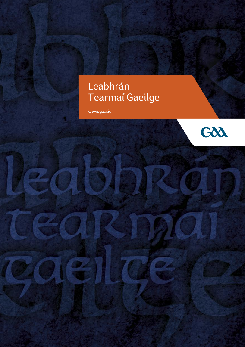# Leabhrán Tearmaí Gaeilge

**www.gaa.ie**

Z,

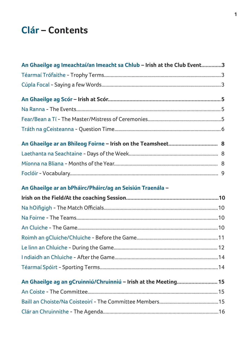# **Clár – Contents**

| An Ghaeilge ag Imeachtaí/an Imeacht sa Chlub - Irish at the Club Event3 |  |
|-------------------------------------------------------------------------|--|
|                                                                         |  |
|                                                                         |  |
|                                                                         |  |
|                                                                         |  |
|                                                                         |  |
|                                                                         |  |
|                                                                         |  |
|                                                                         |  |
|                                                                         |  |
|                                                                         |  |
| An Ghaeilge ar an bPháirc/Pháirc/ag an Seisiún Traenála -               |  |
|                                                                         |  |
|                                                                         |  |
|                                                                         |  |
|                                                                         |  |
|                                                                         |  |
|                                                                         |  |
|                                                                         |  |
|                                                                         |  |
| An Ghaeilge ag an gCruinniú/Chruinniú - Irish at the Meeting 15         |  |
|                                                                         |  |
|                                                                         |  |
|                                                                         |  |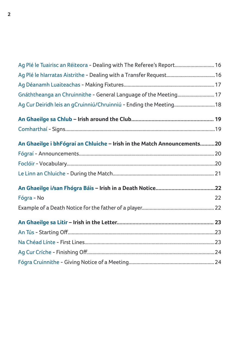| Ag Plé le Tuairisc an Réiteora - Dealing with The Referee's Report 16   |    |
|-------------------------------------------------------------------------|----|
| Ag Plé le hIarratas Aistrithe - Dealing with a Transfer Request16       |    |
|                                                                         |    |
| Gnáththeanga an Chruinnithe - General Language of the Meeting 17        |    |
| Ag Cur Deiridh leis an gCruinniú/Chruinniú - Ending the Meeting18       |    |
|                                                                         |    |
|                                                                         |    |
| An Ghaeilge i bhFógraí an Chluiche - Irish in the Match Announcements20 |    |
|                                                                         |    |
|                                                                         |    |
|                                                                         |    |
|                                                                         |    |
| Fógra - No                                                              | 22 |
|                                                                         |    |
|                                                                         |    |
|                                                                         |    |
|                                                                         |    |
|                                                                         |    |
|                                                                         |    |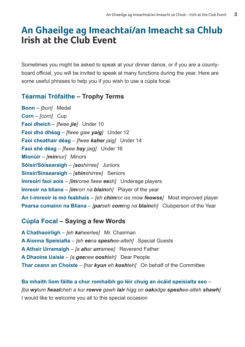# **An Ghaeilge ag Imeachtaí/an Imeacht sa Chlub Irish at the Club Event**

Sometimes you might be asked to speak at your dinner dance, or if you are a countyboard official, you will be invited to speak at many functions during the year. Here are some useful phrases to help you if you wish to use a cúpla focal.

# **Téarmaí Trófaithe – Trophy Terms**

**Bonn** – *[bun]* Medal **Corn** – *[corn]* Cup **Faoi dheich** – *[fwee jie]* Under 10 **Faoi dhó dhéag** – *[fwee gaw yaig]* Under 12 **Faoi cheathair déag** – *[fwee kaher jaig]* Under 14 **Faoi shé déag** – *[fwee hay jaig]* Under 16 **Mionúir** – *[minnur]* Minors **Sóisir/Sóisearaigh** – *[soshirree]* Juniors **Sinsir/Sinsearaigh** – *[shinshirree]* Seniors **Imreoirí faoi aois** – *[imroree fwee eesh]* Underage players **Imreoir na bliana** – *[imrorr na blaineh]* Player of the year **An t-imreoir is mó feabhais** – *[eh chimror iss mow feowss]* Most improved player **Pearsa cumainn na Bliana** – *[parseh coming na blaineh]* Clubperson of the Year

# **Cúpla Focal – Saying a few Words**

**A Chathaoirligh** – *[eh kaheerlee]* Mr. Chairman **A Aíonna Speisialta** – *[eh eena speshee-alteh]* Special Guests **A Athair Urramaigh** – *[a ahar urramee]* Reverend Father **A Dhaoine Uaisle** – *[a geenee ooshleh]* Dear People **Thar ceann an Choiste** – *[har kyun eh koshteh]* On behalf of the Committee

**Ba mhaith liom fáilte a chur romhaibh go léir chuig an ócáid speisialta seo** – *[ba wylum fwaalcheh a kur rowve gawh lair higg on oakadge speshee-alteh shawh]* I would like to welcome you all to this special occasion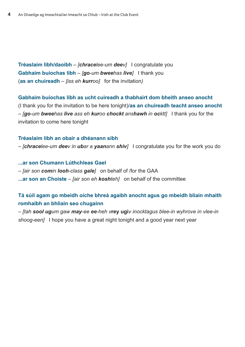**Tréaslaím libh/daoibh** – *[chracelee-um deev]* I congratulate you **Gabhaim buíochas libh** – *[go-um bweehas live]* I thank you (**as an chuireadh** *– [iss eh kurroo]* for the invitation*)*

**Gabhaim buíochas libh as ucht cuireadh a thabhairt dom bheith anseo anocht** (I thank you for the invitation to be here tonight)/**as an chuireadh teacht anseo anocht** – *[go-um bweehas live ass eh kuroo chockt anshawh in ocktt]* I thank you for the invitation to come here tonight

#### **Tréaslaím libh an obair a dhéanann sibh**

– *[chracelee-um deev in ubar a yaanann shiv]* I congratulate you for the work you do

**...ar son Chumann Lúthchleas Gael** – *[air son comin looh-class gale]* on behalf of /for the GAA **...ar son an Choiste** – *[air son eh koshteh]* on behalf of the committee

### **Tá súil agam go mbeidh oíche bhreá agaibh anocht agus go mbeidh bliain mhaith romhaibh an bhliain seo chugainn**

– *[tah sool ugum gaw may-ee ee-heh v***rey ugi***v inocktagus blee-in wyhrove in vlee-in shoog-een]* I hope you have a great night tonight and a good year next year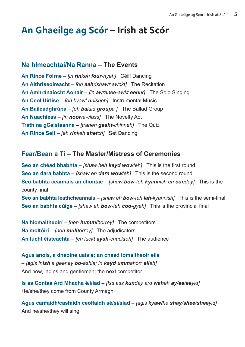# **An Ghaeilge ag Scór – Irish at Scór**

#### **Na hImeachtaí/Na Ranna – The Events**

**An Rince Foirne** – *[in rinkeh four-nyeh]* Céilí Dancing **An Aithriseoireacht** – *[on aahrishawr awckt]* The Recitation **An Amhránaíocht Aonair** – *[in awranee-awkt eenur]* The Solo Singing **An Ceol Uirlise** – *[eh kyawl urlisheh]* Instrumental Music **An Bailéadghrúpa** – *[eh balaid groupa ]* The Ballad Group **An Nuachleas** – *[in noowa-class]* The Novelty Act **Tráth na gCeisteanna** – *[traneh gesht-chinneh]* The Quiz **An Rince Seit** – *[eh rinkeh shetch]* Set Dancing

# **Fear/Bean a Tí – The Master/Mistress of Ceremonies**

**Seo an chéad bhabhta** – *[shaw heh kayd wowteh]* This is the first round **Seo an dara babhta** – *[shaw eh dara wowteh]* This is the second round **Seo babhta ceannais an chontae** – *[shaw bow-teh kyannish eh conday]* This is the county final

**Seo an babhta leathcheannais** – *[shaw eh bow-teh lah-kyannish]* This is the semi-final **Seo an babhta cúige** – *[shaw eh bow-teh coo-gyeh]* This is the provincial final

**Na hiomaitheoirí** – *[neh hummihorrey]* The competitors **Na moltóirí** – *[neh mulltorrey]* The adjudicators **An lucht éisteachta** – *[eh luckt aysh-chuckteh]* The audience

**Agus anois, a dhaoine uaisle; an chéad iomaitheoir eile** – *[agis inish a geeney oo-ashla; in kayd ummahorr elleh]* And now, ladies and gentlemen; the next competitor

**Is as Contae Ard Mhacha é/í/iad** – *[Iss ass kunday ard waheh ay/ee/eeyid]* He/she/they come from County Armagh

**Agus canfaidh/casfaidh ceolfaidh sé/sí/siad** – *[agis kyawlhe shay/shee/sheeyid]* And he/she/they will sing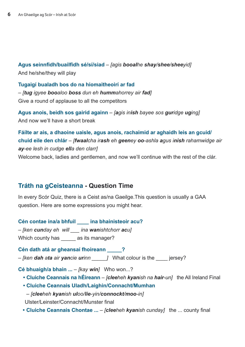**Agus seinnfidh/buailfidh sé/sí/siad** – *[agis booalhe shay/shee/sheeyid]* And he/she/they will play

**Tugaigí bualadh bos do na hiomaitheoirí ar fad** – *[tug igyee booaloo boss dun eh hummahorrey air fad]* Give a round of applause to all the competitors

**Agus anois, beidh sos gairid againn** – *[agis inish bayee sos guridge uging]* And now we'll have a short break

**Fáílte ar ais, a dhaoine uaisle, agus anois, rachaimid ar aghaidh leis an gcuid/ chuid eile den chlár** – *[fwaalcha irash eh geeney oo-ashla agus inish rahamwidge air ay-ee lesh in cudge ella den clarr]* Welcome back, ladies and gentlemen, and now we'll continue with the rest of the clár.

# **Tráth na gCeisteanna - Question Time**

In every Scór Quiz, there is a Ceist as/na Gaeilge.This question is usually a GAA question. Here are some expressions you might hear.

**Cén contae ina/a bhfuil \_\_\_\_ ina bhainisteoir acu?**

– *[ken cunday eh will \_\_\_ ina wanishtchorr acu]* 

Which county has \_\_\_\_\_\_ as its manager?

#### **Cén dath atá ar gheansaí fhoireann \_\_\_\_\_?**

– *[ken dah ata air yancie urinn \_\_\_\_\_]* What colour is the \_\_\_\_ jersey?

**Cé bhuaigh/a bhain ...** – *[kay win]* Who won...?

 **• Cluiche Ceannais na hÉireann** – *[cleeheh kyanish na hair-un]* the All Ireland Final

 **• Cluiche Ceannais Uladh/Laighin/Connacht/Mumhan**

– *[cleeheh kyanish uloo/lie-yin/connockt/moo-in]* 

Ulster/Leinster/Connacht/Munster final

 **• Cluiche Ceannais Chontae ...** – *[cleeheh kyanish cunday]* the ... county final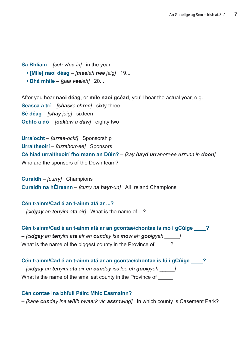**Sa Bhliain** – *[seh vlee-in]* in the year

- **[Míle] naoi déag** *[meeleh nee jaig]* 19...
- **Dhá mhíle** *[gaa veeleh]* 20...

After you hear **naoi déag**, or **míle naoi gcéad**, you'll hear the actual year, e.g. **Seasca a trí** – *[shaska chree]* sixty three **Sé déag** – *[shay jaig]* sixteen **Ochtó a dó** – *[ocktaw a daw]* eighty two

**Urraíocht** – *[urree-ockt]* Sponsorship **Urraitheoirí** – *[urrahorr-ee]* Sponsors **Cé hiad urraitheoirí fhoireann an Dúin?** – *[kay hayd urrahorr-ee urrunn in doon]* Who are the sponsors of the Down team?

**Curaidh** – *[curry]* Champions **Curaidh na hÉireann** – *[curry na hayr-un]* All Ireland Champions

**Cén t-ainm/Cad é an t-ainm atá ar ...?** – *[cidgay an tenyim ata air]* What is the name of ...?

**Cén t-ainm/Cad é an t-ainm atá ar an gcontae/chontae is mó i gCúige \_\_\_\_?** – *[cidgay an tenyim ata air eh cunday iss mow eh gooigyeh \_\_\_\_\_]*  What is the name of the biggest county in the Province of \_\_\_\_\_?

**Cén t-ainm/Cad é an t-ainm atá ar an gcontae/chontae is lú i gCúige \_\_\_\_?** – *[cidgay an tenyim ata air eh cunday iss loo eh gooigyeh \_\_\_\_\_]*  What is the name of the smallest county in the Province of

#### **Cén contae ina bhfuil Páirc Mhic Easmainn?**

– *[kane cunday ina willh pwaark vic assmwing]* In which county is Casement Park?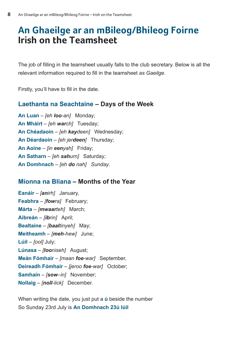# **An Ghaeilge ar an mBileog/Bhileog Foirne Irish on the Teamsheet**

The job of filling in the teamsheet usually falls to the club secretary. Below is all the relevant information required to fill in the teamsheet *as Gaeilge*.

Firstly, you'll have to fill in the date.

#### **Laethanta na Seachtaine – Days of the Week**

**An Luan** – *[eh loo-an]* Monday; **An Mháirt** – *[eh warch]* Tuesday; **An Chéadaoin** – *[eh kaydeen]* Wednesday; **An Déardaoin** – *[eh jerdeen]* Thursday; **An Aoine** – *[in eenyah]* Friday; **An Satharn** – *[eh sahurn]* Saturday; **An Domhnach** – *[eh do nah] Sunday*.

### **Míonna na Bliana – Months of the Year**

**Eanáir** – *[anirh]* January, **Feabhra** – *[fowra]* February; **Márta** – *[mwaarteh]* March; **Aibreán** – *[ibrin]* April; **Bealtaine** – *[baaltinyeh]* May; **Meitheamh** – *[meh-hew]* June; **Lúil** – *[ool]* July; **Lúnasa** – *[looniseh]* August; **Meán Fómhair** – *[maan foe-war]* September, **Deireadh Fómhair** – *[jeroo foe-war]* October; **Samhain** – *[sow–in]* November; **Nollaig** – *[noll-lick]* December.

When writing the date, you just put a **ú** beside the number So Sunday 23rd July is **An Domhnach 23ú Iúil**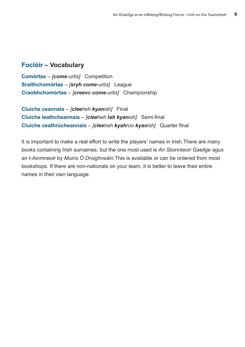### **Foclóir – Vocabulary**

**Comórtas** – *[come-urtis]* Competition **Sraithchomórtas** – *[sryh come-urtis]* League **Craobhchomórtas** – *[creeve come-urtis]* Championship

**Cluiche ceannais** – *[cleeheh kyanish]* Final **Cluiche leathcheannais** – *[cleeheh lah kyanish]* Semi-final **Cluiche ceathrúcheannais** – *[cleeheh kyahroo kyanish]* Quarter final

It is important to make a real effort to write the players' names in Irish.There are many books containing Irish surnames, but the one most used is *An Sloinnteoir Gaeilge agus an t-Ainmneoir* by *Muiris Ó Droighneáin*.This is available or can be ordered from most bookshops. If there are non-nationals on your team, it is better to leave their entire names in their own language.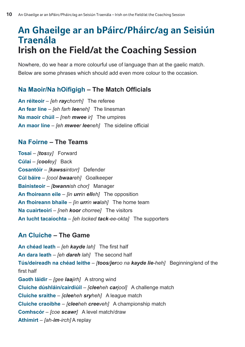# **An Ghaeilge ar an bPáirc/Pháirc/ag an Seisiún Traenála Irish on the Field/at the Coaching Session**

Nowhere, do we hear a more colourful use of language than at the gaelic match. Below are some phrases which should add even more colour to the occasion.

# **Na Maoir/Na hOifigigh – The Match Officials**

**An réiteoir** – *[eh raychorrh]* The referee **An fear líne** – *[eh farh leeneh]* The linesman **Na maoir chúil** – *[neh mwee ir]* The umpires **An maor líne** – *[eh mweer leeneh]* The sideline official

### **Na Foirne – The Teams**

**Tosaí** – *[tossy]* Forward **Cúlaí** – *[cooley]* Back **Cosantóir** – *[kawssintorr]* Defender **Cúl báire** – *[cool bwaareh]* Goalkeeper **Bainisteoir** – *[bwannish chor]* Manager **An fhoireann eile** – *[in urrin elleh]* The opposition **An fhoireann bhaile** – *[in urrin walah]* The home team **Na cuairteoirí** – *[neh koor chorree]* The visitors **An lucht tacaíochta** – *[eh locked tack-ee-okta]* The supporters

# **An Cluiche – The Game**

**An chéad leath** – *[eh kayde lah]* The first half **An dara leath** – *[eh dareh lah]* The second half **Tús/deireadh na chéad leithe** – *[toos/jeroo na kayde lie-heh]* Beginning/end of the first half **Gaoth láidir** – *[gee laajirh]* A strong wind **Cluiche dúshláin/cairdiúil** – *[cleeheh carjool]* A challenge match **Cluiche sraithe** – *[cleeheh sryheh]* A league match **Cluiche craoibhe** – *[cleeheh creeveh]* A championship match **Comhscór** – *[coe scawr]* A level match/draw **Athimirt** – *[ah-im-irch]* A replay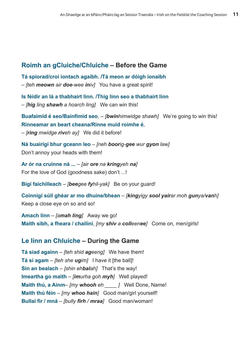# **Roimh an gCluiche/Chluiche – Before the Game**

**Tá spiorad/croí iontach agaibh. /Tá meon ar dóigh ionaibh** – *[teh meown air doe-wee iniv]* You have a great spirit!

**Is féidir an lá a thabhairt linn. /Thig linn seo a thabhairt linn** – *[hig ling shawh a hoarch ling]* We can win this!

**Buafaimid é seo/Bainfimid seo**, – *[bwinhimwidge shawh]* We're going to win this! **Rinneamar an beart cheana/Rinne muid roimhe é**,

– *[ring mwidge riveh ay]* We did it before!

**Ná buairigí bhur gceann leo** – *[neh boorig-gee wur gyon law]*  Don't annoy your heads with them!

**Ar ór na cruinne ná ...** – *[air ore na kringyeh na]*  For the love of God (goodness sake) don't ...!

**Bígí faichilleach** – *[beegee fyhil-yak]* Be on your guard!

**Coinnígí súil ghéar ar mo dhuine/bhean** – *[kingyigy sool yairar moh gunya/vanh]* Keep a close eye on so and so!

**Amach linn** – *[amah ling]* Away we go! **Maith sibh, a fheara / chailíní**, *[my shiv a colleenee]* Come on, men/girls!

# **Le linn an Chluiche – During the Game**

**Tá siad againn** – *[teh shid ageeng]* We have them! **Tá sí agam** – *[teh she ugim]* I have it [the ball]! **Sin an bealach** – *[shin ehbalah]* That's the way! **Imeartha go maith** – *[imurha goh myh]* Well played! **Maith thú, a Ainm**– *[my whooh eh \_\_\_\_ ]* Well Done, Name! **Maith thú féin** – *[my whoo hain]* Good man/girl yourself! **Bullaí fir / mná** – *[bully firh / mraa]* Good man/woman!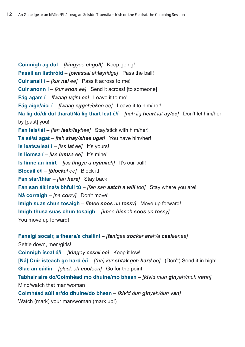**Coinnigh ag dul** – *[kingyee ehgoll]* Keep going! **Pasáil an liathróid** – *[pwassal ehlayridge]* Pass the ball! **Cuir anall í** – *[kur nal ee]* Pass it across to me! **Cuir anonn í** – *[kur anon ee]* Send it across! [to someone] **Fág agam í** – *[fwaag ugim ee]* Leave it to me! **Fág aige/aici í** – *[fwaag eggeh/ekee ee]* Leave it to him/her! **Na lig dó/di dul tharat/Ná lig thart leat é/í** – *[nah lig heart lat ay/ee]* Don't let him/her by [past] you! **Fan leis/léi** – *[fan lesh/layhee]* Stay/stick with him/her! **Tá sé/sí agat** – *[teh shay/shee ugat]* You have him/her! **Is leatsa/leat í** – *[iss lat ee]* It's yours! **Is liomsa í** – *[iss lumsa ee]* It's mine! **Is linne an imirt** – *[iss lingya a nyimirch]* It's our ball! **Blocáil é/í** – *[blockal ee]* Block it! **Fan siar/thiar** – *[fan here]* Stay back! **Fan san áit ina/a bhfuil tú** – *[fan san aatch a will too]* Stay where you are! **Ná corraigh** – *[na corry]* Don't move! **Imigh suas chun tosaigh** – *[imee soos un tossy]* Move up forward! **Imigh thusa suas chun tosaigh** – *[imee hisseh soos un tossy]*  You move up forward!

**Fanaigí socair, a fheara/a chailíní** – *[fanigee socker areh/a caaleenee]* Settle down, men/girls! **Coinnigh íseal é/í** – *[kingey eeshil ee]* Keep it low! **[Ná] Cuir isteach go hard é/í** – *[(na) kur shtak goh hard ee]* (Don't) Send it in high! **Glac an cúilín** – *[glack eh cooleen]* Go for the point! **Tabhair aire do/Coimhéad mo dhuine/mo bhean** – *[kivid muh ginyeh/muh vanh]* Mind/watch that man/woman **Coimhéad súil ar/do dhuine/do bhean** – *[kivid duh ginyeh/duh van]* Watch (mark) your man/woman (mark up!)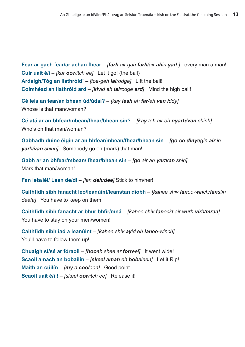**Fear ar gach fear/ar achan fhear** – *[farh air gah farh/air ahin yarh]* every man a man! **Cuir uait é/í** – *[kur oowitch ee]* Let it go! (the ball) **Ardaigh/Tóg an liathróid!** – *[toe-geh lairodge]* Lift the ball! **Coimhéad an liathróid ard** – *[kivid eh lairodge ard]* Mind the high ball!

**Cé leis an fear/an bhean úd/údaí?** – *[kay lesh eh far/eh van iddy]* Whose is that man/woman?

**Cé atá ar an bhfear/mbean/fhear/bhean sin?** – *[kay teh air eh nyarh/van shinh]* Who's on that man/woman?

**Gabhadh duine éigin ar an bhfear/mbean/fhear/bhean sin** – *[go-oo dinyegin air in yarh/van shinh]* Somebody go on (mark) that man!

**Gabh ar an bhfear/mbean/ fhear/bhean sin** – *[go air an yar/van shin]* Mark that man/woman!

**Fan leis/léi/ Lean de/di** – *[lan deh/dee]* Stick to him/her!

**Caithfidh sibh fanacht leo/leanúint/leanstan díobh** – *[kahee shiv lanoo-winch/lanstin deefa]* You have to keep on them!

**Caithfidh sibh fanacht ar bhur bhfir/mná** – *[kahee shiv fanockt air wurh virh/mraa]*  You have to stay on your men/women!

**Caithfidh sibh iad a leanúint** – *[kahee shiv ayid eh lanoo-winch]*  You'll have to follow them up!

**Chuaigh sí/sé ar fóraoil** – *[hooah shee ar forreel]* It went wide! **Scaoil amach an bobailín** – *[skeel amah eh bobaleen]* Let it Rip! **Maith an cúilín** – *[my a cooleen]* Good point **Scaoil uait é/í !** – *[skeel oowitch ee]* Release it!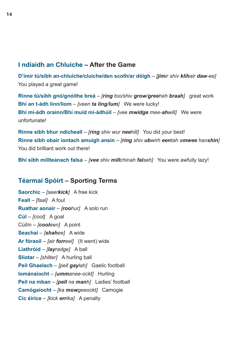# **I ndiaidh an Chluiche – After the Game**

**D'imir tú/sibh an-chluiche/cluiche/den scoth/ar dóigh** – *[jimir shiv klihair daw-ee]*  You played a great game!

**Rinne tú/sibh gnó/gnóithe breá** – *[ring too/shiv grow/greeheh braah]* great work **Bhí an t-ádh linn/liom** – *[veen ta ling/lum]* We were lucky! **Bhí mí-ádh orainn/Bhí muid mí-ádhúil** – *[vee mwidge mee-ahwill]* We were unfortunate!

**Rinne sibh bhur ndícheall** – *[ring shiv wur neehill]* You did your best! **Rinne sibh obair iontach amuigh ansin** – *[ring shiv ubwirh eentah amwee hanshin]* You did brilliant work out there!

**Bhí sibh millteanach falsa** – *[vee shiv millchinah falseh]* You were awfully lazy!

# **Téarmaí Spóirt – Sporting Terms**

**Saorchic** – *[seerkick]* A free kick **Feall** – *[faal]* A foul **Ruathar aonair** – *[roohur]* A solo run **Cúl** – *[cool]* A goal Cúilín – *[cooleen]* A point **Seachaí** – *[shahee]* A wide **Ar fóraoil** – *[air forreel]* (It went) wide **Liathróid** – *[layradge]* A ball **Sliotar** – *[shliter]* A hurling ball **Peil Ghaelach** – *[pell gaylah]* Gaelic football **Iománaíocht** – *[ummanee-ockt]* Hurling **Peil na mban** – *[pell na manh]* Ladies' football **Camógaíocht** – *[ka mowgeeockt]* Camogie **Cic éirice** – *[kick errika]* A penalty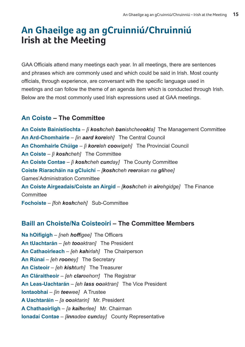# **An Ghaeilge ag an gCruinniú/Chruinniú Irish at the Meeting**

GAA Officials attend many meetings each year. In all meetings, there are sentences and phrases which are commonly used and which could be said in Irish. Most county officials, through experience, are conversant with the specific language used in meetings and can follow the theme of an agenda item which is conducted through Irish. Below are the most commonly used Irish expressions used at GAA meetings.

# **An Coiste – The Committee**

**An Coiste Bainistíochta** – *[i koshcheh banishcheeokta]* The Management Committee **An Ard-Chomhairle** – *[in aard koreleh]* The Central Council **An Chomhairle Chúige** – *[i koreleh coowigeh]* The Provincial Council **An Coiste** – *[i koshcheh]* The Committee **An Coiste Contae** – *[i koshcheh cunday]* The County Committee **Coiste Riaracháin na gCluichí** – *[koshcheh reerakan na glihee]* Games'Administration Committee **An Coiste Airgeadais/Coiste an Airgid** – *[koshcheh in airehgidge]* The Finance **Committee Fochoiste** – *[foh koshcheh]* Sub-Committee

# **Baill an Choiste/Na Coisteoirí – The Committee Members**

**Na hOifigigh** – *[neh hoffigee]* The Officers **An tUachtarán** – *[eh tooaktran]* The President **An Cathaoirleach** – *[eh kahirlah]* The Chairperson **An Rúnaí** – *[eh rooney]* The Secretary **An Cisteoir** – *[eh kishturh]* The Treasurer **An Cláraitheoir** – *[eh clareehorr]* The Registrar **An Leas-Uachtarán** – *[eh lass ooaktran]* The Vice President **Iontaobhaí** – *[in teewee]* A Trustee **A Uachtaráin** – *[a ooaktarin]* Mr. President **A Chathaoirligh** – *[a kaiherlee]* Mr. Chairman **Ionadaí Contae** – *[innadee cunday]* County Representative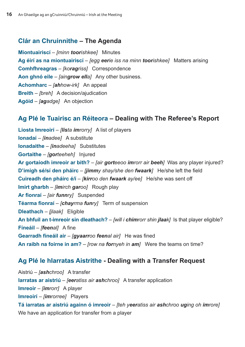### **Clár an Chruinnithe – The Agenda**

**Miontuairiscí** – *[minn toorishkee]* Minutes **Ag éirí as na miontuairiscí** – *[egg eerie iss na minn toorishkee]* Matters arising **Comhfhreagras** – *[koragriss]* Correspondence **Aon ghnó eile** – *[aingrow ella]* Any other business. **Achomharc** – *[ahhow-irk]* An appeal **Breith** – *[breh]* A decision/ajudication **Agóid** – *[agadge]* An objection

### **Ag Plé le Tuairisc an Réiteora – Dealing with The Referee's Report**

**Liosta Imreoirí** – *[lista imrorry]* A list of players **Ionadaí** – *[inadee]* A substitute **Ionadaithe** – *[inadeeha]* Substitutes **Gortaithe** – *[gorteeheh]* Injured **Ar gortaíodh imreoir ar bith?** – *[air gorteeoo imrorr air beeh]* Was any player injured? **D'imigh sé/sí den pháirc** – *[jimmy shay/she den fwaark]* He/she left the field **Cuireadh den pháirc é/í** – *[kirroo den fwaark ay/ee]* He/she was sent off **Imirt gharbh** – *[imirch garoo]* Rough play **Ar fionraí** – *[air funnry]* Suspended **Téarma fionraí** – *[chayrma funry]* Term of suspension **Dleathach** – *[jlaak]* Eligible **An bhfuil an t-imreoir sin dleathach?** – *[will i chimrorr shin jlaak]* Is that player eligible? **Fíneáil** – *[feenal]* A fine **Gearradh fíneáil air** – *[gyaarroo feenal air]* He was fined **An raibh na foirne in am?** – *[row na fornyeh in am]* Were the teams on time?

#### **Ag Plé le hIarratas Aistrithe - Dealing with a Transfer Request**

Aistriú – *[ashchroo]* A transfer **Iarratas ar aistriú** – *[eeratiss air ashchroo]* A transfer application **Imreoir** – *[imrorr]* A player **Imreoirí** – *[imrorree]* Players **Tá iarratas ar aistriú againn ó imreoir** – *[teh yeeratiss air ashchroo uging oh imrore]* We have an application for transfer from a player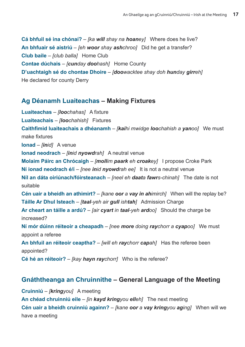**Cá bhfuil sé ina chónaí?** – *[ka will shay na hoaney]* Where does he live? **An bhfuair sé aistriú** – *[eh woor shay ashchroo]* Did he get a transfer? **Club baile** – *[club balla]* Home Club **Contae dúchais** – *[cunday doohash]* Home County **D'uachtaigh sé do chontae Dhoire** – *[doowacktee shay doh hunday girreh]*  He declared for county Derry

#### **Ag Déanamh Luaiteachas – Making Fixtures**

**Luaiteachas** – *[loochahas]* A fixture **Luaiteachais** – *[loochahish]* Fixtures **Caithfimid luaiteachais a dhéanamh** – *[kaihi mwidge loochahish a yanoo]* We must make fixtures **Ionad** – *[inid]* A venue **Ionad neodrach** – *[inid nyowdrah]* A neutral venue **Molaim Páirc an Chrócaigh** – *[mollim paark eh croakey]* I propose Croke Park **Ní ionad neodrach é/í** – *[nee inid nyowdrah ee]* It is not a neutral venue **Níl an dáta oiriúnach/fóirsteanach** – *[neel eh daata fawrs-chinah]* The date is not suitable **Cén uair a bheidh an athimirt?** – *[kane oor a vay in ahimirch]* When will the replay be? **Táille Ar Dhul Isteach** – *[taal-yeh air gull ishtah]* Admission Charge **Ar cheart an táille a ardú?** – *[air cyart in taal-yeh ardoo]* Should the charge be increased? **Ní mór dúinn réiteoir a cheapadh** – *[nee more doing raychorr a cyapoo]* We must appoint a referee **An bhfuil an réiteoir ceaptha?** – *[will eh raychorr capah]* Has the referee been appointed?

**Cé hé an réiteoir?** – *[kay hayn raychorr]* Who is the referee?

# **Gnáththeanga an Chruinnithe – General Language of the Meeting**

**Cruinniú** – *[kringyou]* A meeting **An chéad chruinniú eile** – *[in kayd kringyou elleh]* The next meeting **Cén uair a bheidh cruinniú againn?** – *[kane oor a vay kringyou aging]* When will we have a meeting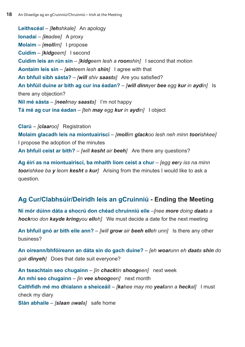**Leithscéal** – *[lehshkale]* An apology **Ionadaí** – *[inadee]* A proxy **Molaim** – *[mollim]* I propose **Cuidím** – *[kidgeem]* I second **Cuidím leis an rún sin** – *[kidgeem lesh a roonshin]* I second that motion **Aontaím leis sin** – *[ainteem lesh shin]* I agree with that **An bhfuil sibh sásta?** – *[will shiv saasta]* Are you satisfied? **An bhfúil duine ar bith ag cur ina éadan?** – *[will dinnyer bee egg kur in aydin]* Is there any objection? **Níl mé sásta** – *[neelmay saasta]* I'm not happy **Tá mé ag cur ina éadan** – *[teh may egg kur in aydin]* I object

**Clarú** – *[claaroo]* Registration **Molaim glacadh leis na miontuairiscí** – *[mollim glackoo lesh neh minn toorishkee]* I propose the adoption of the minutes **An bhfuil ceist ar bith?** – *[will kesht air beeh]* Are there any questions?

**Ag éirí as na miontuairiscí, ba mhaith liom ceist a chur** – *[egg eery iss na minn toorishkee ba y leom kesht a kur]* Arising from the minutes I would like to ask a question.

# **Ag Cur/Clabhsúir/Deiridh leis an gCruinniú - Ending the Meeting**

**Ní mór dúinn dáta a shocrú don chéad chruinniú eile** –*[nee more doing daata a hockroo don kayde kringyou elleh]* We must decide a date for the next meeting

**An bhfuil gnó ar bith eile ann?** – *[will grow air beeh elleh unn]* Is there any other business?

**An oireann/bhfóireann an dáta sin do gach duine?** – *[eh woarunn eh daata shin do gak dinyeh]* Does that date suit everyone?

**An tseachtain seo chugainn** – *[in chacktin shoogeen]* next week **An mhí seo chugainn** – *[in vee shoogeen]* next month **Caithfidh mé mo dhialann a sheiceáil** – *[kahee may mo yealann a heckal]* I must check my diary **Slán abhaile** – *[slaan awala]* safe home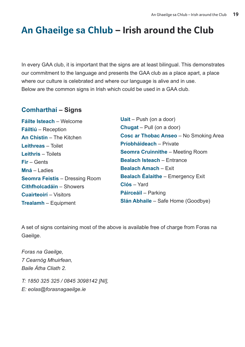# **An Ghaeilge sa Chlub – Irish around the Club**

In every GAA club, it is important that the signs are at least bilingual. This demonstrates our commitment to the language and presents the GAA club as a place apart, a place where our culture is celebrated and where our language is alive and in use. Below are the common signs in Irish which could be used in a GAA club.

# **Comharthaí – Signs**

**Fáilte Isteach** – Welcome **Fáiltiú** – Reception **An Chistin** – The Kitchen **Leithreas** – Toilet **Leithris** – Toilets **Fir** – Gents **Mná** – Ladies **Seomra Feistis** – Dressing Room **Cithfholcadáin** – Showers **Cuairteoirí** – Visitors **Trealamh** – Equipment

**Uait** – Push (on a door) **Chugat** – Pull (on a door) **Cosc ar Thobac Anseo** – No Smoking Area **Príobháideach** – Private **Seomra Cruinnithe** – Meeting Room **Bealach Isteach** – Entrance **Bealach Amach** – Exit **Bealach Éalaithe** – Emergency Exit **Clós** – Yard **Páirceáil** – Parking **Slán Abhaile** – Safe Home (Goodbye)

A set of signs containing most of the above is available free of charge from Foras na Gaeilge.

*Foras na Gaeilge, 7 Cearnóg Mhuirfean, Baile Átha Cliath 2.*

*T: 1850 325 325 / 0845 3098142 [NI], E: eolas@forasnagaeilge.ie*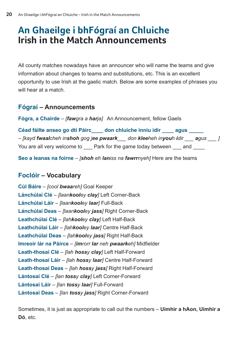# **An Ghaeilge i bhFógraí an Chluiche Irish in the Match Announcements**

All county matches nowadays have an announcer who will name the teams and give information about changes to teams and substitutions, etc. This is an excellent opportunity to use Irish at the gaelic match. Below are some examples of phrases you will hear at a match.

# **Fógraí – Announcements**

**Fógra, a Chairde** – *[fawgra a harja]* An Announcement, fellow Gaels

| Céad fáilte anseo go dtí Páirc          | don chluiche inniu idir                          | aqus |
|-----------------------------------------|--------------------------------------------------|------|
| - [kayd fwaalcheh inshoh gog jee pwaark | don <b>klee</b> heh in <b>you</b> h <b>i</b> dir | aqus |
| You are all very welcome to             | Park for the game today between                  | and  |

**Seo a leanas na foirne** – *[shoh eh laniss na fawrrnyeh]* Here are the teams

# **Foclóir – Vocabulary**

**Cúl Báire** – *[cool bwaareh]* Goal Keeper **Lánchúlaí Clé** – *[laankooley clay]* Left Corner-Back **Lánchúlaí Láir** – *[laankooley laar]* Full-Back **Lánchúlaí Deas** – *[laankooley jass]* Right Corner-Back **Leathchúlaí Clé** – *[lahkooley clay]* Left Half-Back **Leathchúlaí Láir** – *[lahkooley laar]* Centre Half-Back **Leathchúlaí Deas** – *[lahkooley jass]* Right Half-Back **Imreoir lár na Páirce** – *[imrorr lar neh pwaarkeh]* Midfielder **Leath-thosaí Clé** – *[lah hossy clay]* Left Half-Forward **Leath-thosaí Láir** – *[lah hossy laar]* Centre Half-Forward **Leath-thosaí Deas** – *[lah hossy jass]* Right Half-Forward **Lántosaí Clé** – *[lan tossy clay]* Left Corner-Forward **Lántosaí Láir** – *[lan tossy laar]* Full-Forward **Lántosaí Deas** – *[lan tossy jass]* Right Corner-Forward

Sometimes, it is just as appropriate to call out the numbers – **Uimhir a hAon, Uimhir a Dó**, etc.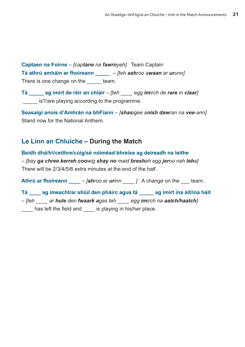**Captaen na Foirne** – *[captane na fawrnyeh]* Team Captain **Tá athrú amháin ar fhoireann \_\_\_\_\_** – *[teh aahroo awaan ar urunn]*  There is one change on the team.

**Tá \_\_\_\_\_ ag imirt de réir an chláir** – *[teh \_\_\_\_ egg imirch de rare in claar]*  is?/are playing according to the programme.

**Seasaigí anois d'Amhrán na bhFiann** – *[shasigee anish dawran na vee-ann]*  Stand now for the National Anthem.

# **Le Linn an Chluiche – During the Match**

**Beidh dhá/trí/ceithre/cúig/sé nóiméad bhreise ag deireadh na leithe** – *[bay ga chree kerreh coowig shay no maid bresheh egg jeroo neh leha]* There will be 2/3/4/5/6 extra minutes at the end of the half.

**Athrú ar fhoireann \_\_\_\_** – *[ahroo ar urinn \_\_\_\_ ]* A change on the \_\_\_ team.

**Tá \_\_\_\_ ag imeacht/ar shiúl den pháirc agus tá \_\_\_\_\_ ag imirt ina áit/ina háit** – *[teh \_\_\_\_ ar hule den fwaark agas teh \_\_\_\_ egg imirch na aatch/haatch]*  has left the field and is playing in his/her place.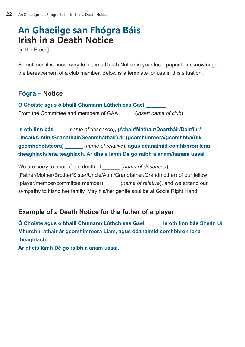# **An Ghaeilge san Fhógra Báis Irish in a Death Notice**

[in the Press]

Sometimes it is necessary to place a Death Notice in your local paper to acknowledge the bereavement of a club member. Below is a template for use in this situation.

# **Fógra – Notice**

**Ó Choiste agus ó bhaill Chumann Lúthchleas Gael \_\_\_\_\_\_\_**  From the Committee and members of GAA \_\_\_\_\_ (*insert name of club*)

**Is oth linn bás \_\_\_\_** *(name of deceased)***, (Athair/Máthair/Deartháir/Deirfiúr/ Uncail/Aintín /Seanathair/Seanmháthair) ár (gcomhimreora/gcomhbha(i)ll/ gcomhchoisteora) \_\_\_\_\_\_** (*name of relative*), **agus déanaimid comhbhrón lena theaghlach/lena teaghlach. Ar dheis lámh Dé go raibh a anam/hanam uasal** 

We are sorry to hear of the death of *(name of deceased)*, (Father/Mother/Brother/Sister/Uncle/Aunt/Grandfather/Grandmother) of our fellow (player/member/committee member) \_\_\_\_\_ (*name of relative*), and we extend our sympathy to his/to her family. May his/her gentle soul be at God's Right Hand.

# **Example of a Death Notice for the father of a player**

**Ó Choiste agus ó bhaill Chumann Lúthchleas Gael \_\_\_\_\_. Is oth linn bás Sheán Uí Mhurchú, athair ár gcomhimreora Liam, agus déanaimid comhbhrón lena theaghlach.** 

**Ar dheis lámh Dé go raibh a anam uasal.**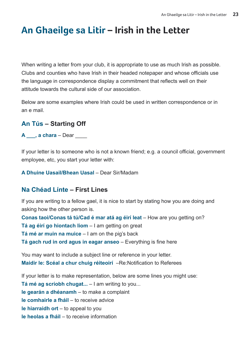# **An Ghaeilge sa Litir – Irish in the Letter**

When writing a letter from your club, it is appropriate to use as much Irish as possible. Clubs and counties who have Irish in their headed notepaper and whose officials use the language in correspondence display a commitment that reflects well on their attitude towards the cultural side of our association.

Below are some examples where Irish could be used in written correspondence or in an e mail.

# **An Tús – Starting Off**

**A** \_\_\_, **a chara** – Dear \_\_\_\_

If your letter is to someone who is not a known friend; e.g. a council official, government employee, etc, you start your letter with:

**A Dhuine Uasail/Bhean Uasal** – Dear Sir/Madam

#### **Na Chéad Línte – First Lines**

If you are writing to a fellow gael, it is nice to start by stating how you are doing and asking how the other person is.

**Conas taoi/Conas tá tú/Cad é mar atá ag éirí leat** – How are you getting on? **Tá ag éirí go hiontach liom** – I am getting on great **Tá mé ar muin na muice** – I am on the pig's back **Tá gach rud in ord agus in eagar anseo** – Everything is fine here

You may want to include a subject line or reference in your letter. **Maidir le: Scéal a chur chuig réiteoirí** –Re:Notification to Referees

If your letter is to make representation, below are some lines you might use:

**Tá mé ag scríobh chugat...** – I am writing to you...

**le gearán a dhéanamh** – to make a complaint

**le comhairle a fháil** – to receive advice

**le hiarraidh ort** – to appeal to you

**le heolas a fháil** – to receive information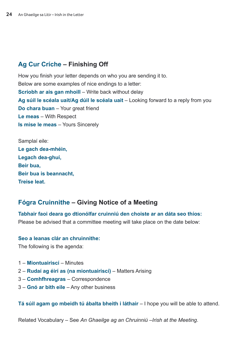# **Ag Cur Críche – Finishing Off**

How you finish your letter depends on who you are sending it to. Below are some examples of nice endings to a letter: **Scríobh ar ais gan mhoill** – Write back without delay **Ag súil le scéala uait/Ag dúil le scéala uait** – Looking forward to a reply from you **Do chara buan** – Your great friend **Le meas** – With Respect **Is mise le meas** – Yours Sincerely

| Samplaí eile:          |
|------------------------|
| Le gach dea-mhéin,     |
| Legach dea-ghuí,       |
| Beir bua,              |
| Beir bua is beannacht, |
| <b>Treise leat.</b>    |

# **Fógra Cruinnithe – Giving Notice of a Meeting**

**Tabhair faoi deara go dtionólfar cruinniú den choiste ar an dáta seo thíos:**  Please be advised that a committee meeting will take place on the date below:

#### **Seo a leanas clár an chruinnithe:**

The following is the agenda:

- 1 **Miontuairiscí**  Minutes
- 2 **Rudaí ag éirí as (na miontuairiscí)** Matters Arising
- 3 **Comhfhreagras** Correspondence
- 3 **Gnó ar bith eile** Any other business

**Tá súil agam go mbeidh tú ábalta bheith i láthair** – I hope you will be able to attend.

Related Vocabulary – See *An Ghaeilge ag an Chruinniú –Irish at the Meeting*.